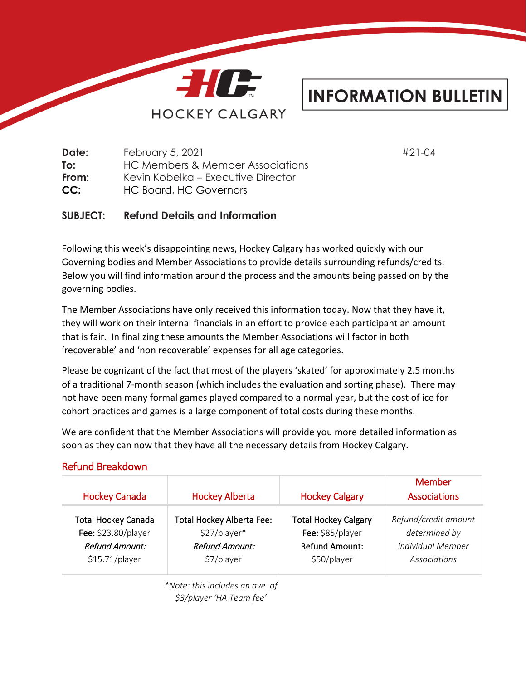

## **INFORMATION BULLETIN**

**Date:** February 5, 2021 #21-04 **To:** HC Members & Member Associations **From:** Kevin Kobelka – Executive Director **CC:** HC Board, HC Governors

**SUBJECT: Refund Details and Information**

Following this week's disappointing news, Hockey Calgary has worked quickly with our Governing bodies and Member Associations to provide details surrounding refunds/credits. Below you will find information around the process and the amounts being passed on by the governing bodies.

The Member Associations have only received this information today. Now that they have it, they will work on their internal financials in an effort to provide each participant an amount that is fair. In finalizing these amounts the Member Associations will factor in both 'recoverable' and 'non recoverable' expenses for all age categories.

Please be cognizant of the fact that most of the players 'skated' for approximately 2.5 months of a traditional 7-month season (which includes the evaluation and sorting phase). There may not have been many formal games played compared to a normal year, but the cost of ice for cohort practices and games is a large component of total costs during these months.

We are confident that the Member Associations will provide you more detailed information as soon as they can now that they have all the necessary details from Hockey Calgary.

### Refund Breakdown

| <b>Hockey Canada</b>       | <b>Hockey Alberta</b>            | <b>Hockey Calgary</b>       | Member<br><b>Associations</b> |
|----------------------------|----------------------------------|-----------------------------|-------------------------------|
| <b>Total Hockey Canada</b> | <b>Total Hockey Alberta Fee:</b> | <b>Total Hockey Calgary</b> | Refund/credit amount          |
| Fee: \$23.80/player        | \$27/player*                     | Fee: \$85/player            | determined by                 |
| Refund Amount:             | Refund Amount:                   | <b>Refund Amount:</b>       | individual Member             |
| $$15.71/p$ layer           | \$7/player                       | \$50/player                 | Associations                  |

*\*Note: this includes an ave. of \$3/player 'HA Team fee'*